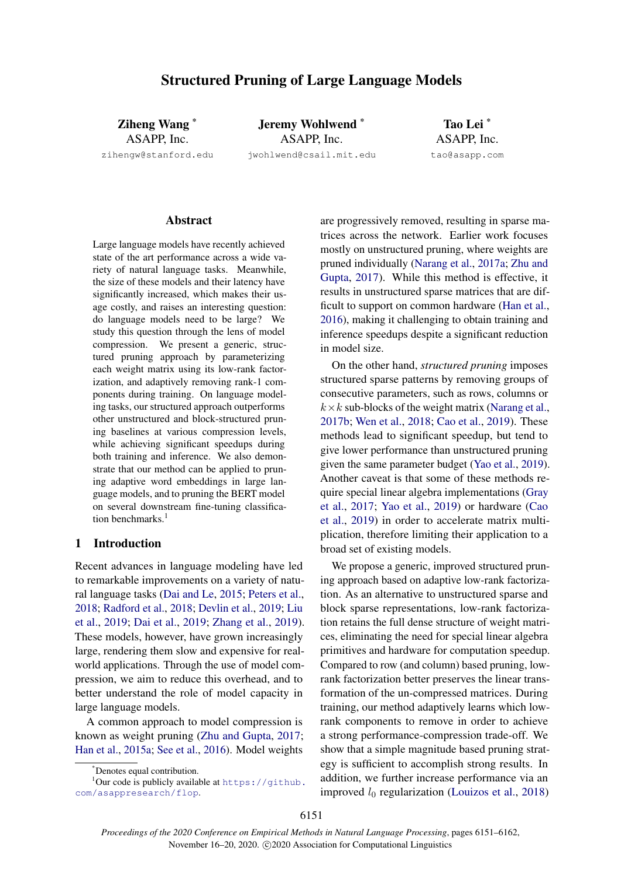# Structured Pruning of Large Language Models

Ziheng Wang \* ASAPP, Inc. zihengw@stanford.edu

Jeremy Wohlwend \* ASAPP, Inc. jwohlwend@csail.mit.edu

Tao Lei \* ASAPP, Inc. tao@asapp.com

### **Abstract**

Large language models have recently achieved state of the art performance across a wide variety of natural language tasks. Meanwhile, the size of these models and their latency have significantly increased, which makes their usage costly, and raises an interesting question: do language models need to be large? We study this question through the lens of model compression. We present a generic, structured pruning approach by parameterizing each weight matrix using its low-rank factorization, and adaptively removing rank-1 components during training. On language modeling tasks, our structured approach outperforms other unstructured and block-structured pruning baselines at various compression levels, while achieving significant speedups during both training and inference. We also demonstrate that our method can be applied to pruning adaptive word embeddings in large language models, and to pruning the BERT model on several downstream fine-tuning classification benchmarks.<sup>1</sup>

# 1 Introduction

Recent advances in language modeling have led to remarkable improvements on a variety of natural language tasks [\(Dai and Le,](#page-8-0) [2015;](#page-8-0) [Peters et al.,](#page-9-0) [2018;](#page-9-0) [Radford et al.,](#page-9-1) [2018;](#page-9-1) [Devlin et al.,](#page-8-1) [2019;](#page-8-1) [Liu](#page-9-2) [et al.,](#page-9-2) [2019;](#page-9-2) [Dai et al.,](#page-8-2) [2019;](#page-8-2) [Zhang et al.,](#page-10-0) [2019\)](#page-10-0). These models, however, have grown increasingly large, rendering them slow and expensive for realworld applications. Through the use of model compression, we aim to reduce this overhead, and to better understand the role of model capacity in large language models.

A common approach to model compression is known as weight pruning [\(Zhu and Gupta,](#page-10-1) [2017;](#page-10-1) [Han et al.,](#page-9-3) [2015a;](#page-9-3) [See et al.,](#page-10-2) [2016\)](#page-10-2). Model weights

 $1$ Our code is publicly available at [https://github.](https://github.com/asappresearch/flop) [com/asappresearch/flop](https://github.com/asappresearch/flop).

are progressively removed, resulting in sparse matrices across the network. Earlier work focuses mostly on unstructured pruning, where weights are pruned individually [\(Narang et al.,](#page-9-4) [2017a;](#page-9-4) [Zhu and](#page-10-1) [Gupta,](#page-10-1) [2017\)](#page-10-1). While this method is effective, it results in unstructured sparse matrices that are difficult to support on common hardware [\(Han et al.,](#page-9-5) [2016\)](#page-9-5), making it challenging to obtain training and inference speedups despite a significant reduction in model size.

On the other hand, *structured pruning* imposes structured sparse patterns by removing groups of consecutive parameters, such as rows, columns or  $k \times k$  sub-blocks of the weight matrix [\(Narang et al.,](#page-9-6) [2017b;](#page-9-6) [Wen et al.,](#page-10-3) [2018;](#page-10-3) [Cao et al.,](#page-8-3) [2019\)](#page-8-3). These methods lead to significant speedup, but tend to give lower performance than unstructured pruning given the same parameter budget [\(Yao et al.,](#page-10-4) [2019\)](#page-10-4). Another caveat is that some of these methods require special linear algebra implementations [\(Gray](#page-9-7) [et al.,](#page-9-7) [2017;](#page-9-7) [Yao et al.,](#page-10-4) [2019\)](#page-10-4) or hardware [\(Cao](#page-8-3) [et al.,](#page-8-3) [2019\)](#page-8-3) in order to accelerate matrix multiplication, therefore limiting their application to a broad set of existing models.

We propose a generic, improved structured pruning approach based on adaptive low-rank factorization. As an alternative to unstructured sparse and block sparse representations, low-rank factorization retains the full dense structure of weight matrices, eliminating the need for special linear algebra primitives and hardware for computation speedup. Compared to row (and column) based pruning, lowrank factorization better preserves the linear transformation of the un-compressed matrices. During training, our method adaptively learns which lowrank components to remove in order to achieve a strong performance-compression trade-off. We show that a simple magnitude based pruning strategy is sufficient to accomplish strong results. In addition, we further increase performance via an improved  $l_0$  regularization [\(Louizos et al.,](#page-9-8) [2018\)](#page-9-8)

<sup>\*</sup>Denotes equal contribution.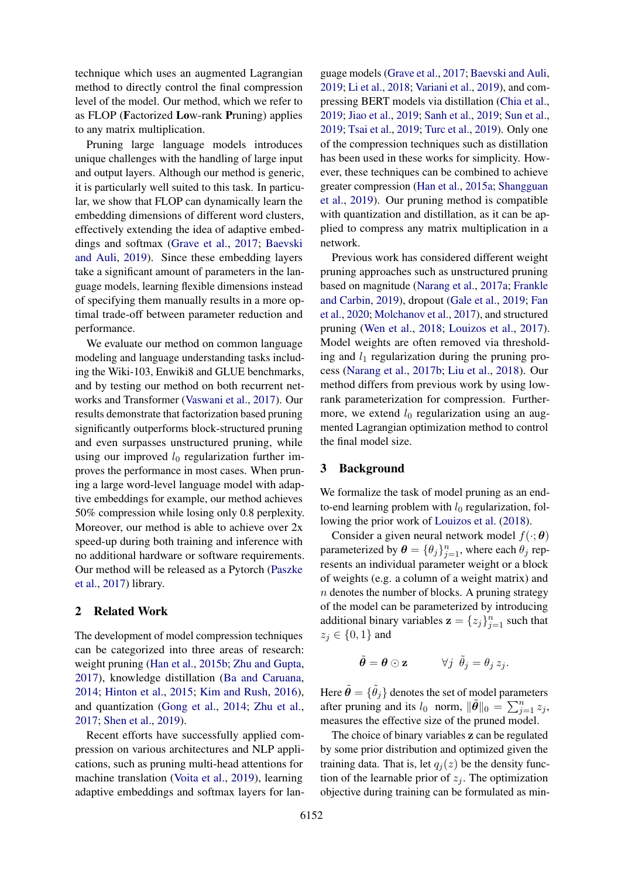technique which uses an augmented Lagrangian method to directly control the final compression level of the model. Our method, which we refer to as FLOP (Factorized Low-rank Pruning) applies to any matrix multiplication.

Pruning large language models introduces unique challenges with the handling of large input and output layers. Although our method is generic, it is particularly well suited to this task. In particular, we show that FLOP can dynamically learn the embedding dimensions of different word clusters, effectively extending the idea of adaptive embeddings and softmax [\(Grave et al.,](#page-9-9) [2017;](#page-9-9) [Baevski](#page-8-4) [and Auli,](#page-8-4) [2019\)](#page-8-4). Since these embedding layers take a significant amount of parameters in the language models, learning flexible dimensions instead of specifying them manually results in a more optimal trade-off between parameter reduction and performance.

We evaluate our method on common language modeling and language understanding tasks including the Wiki-103, Enwiki8 and GLUE benchmarks, and by testing our method on both recurrent networks and Transformer [\(Vaswani et al.,](#page-10-5) [2017\)](#page-10-5). Our results demonstrate that factorization based pruning significantly outperforms block-structured pruning and even surpasses unstructured pruning, while using our improved  $l_0$  regularization further improves the performance in most cases. When pruning a large word-level language model with adaptive embeddings for example, our method achieves 50% compression while losing only 0.8 perplexity. Moreover, our method is able to achieve over 2x speed-up during both training and inference with no additional hardware or software requirements. Our method will be released as a Pytorch [\(Paszke](#page-9-10) [et al.,](#page-9-10) [2017\)](#page-9-10) library.

### 2 Related Work

The development of model compression techniques can be categorized into three areas of research: weight pruning [\(Han et al.,](#page-9-11) [2015b;](#page-9-11) [Zhu and Gupta,](#page-10-1) [2017\)](#page-10-1), knowledge distillation [\(Ba and Caruana,](#page-8-5) [2014;](#page-8-5) [Hinton et al.,](#page-9-12) [2015;](#page-9-12) [Kim and Rush,](#page-9-13) [2016\)](#page-9-13), and quantization [\(Gong et al.,](#page-8-6) [2014;](#page-8-6) [Zhu et al.,](#page-10-6) [2017;](#page-10-6) [Shen et al.,](#page-10-7) [2019\)](#page-10-7).

Recent efforts have successfully applied compression on various architectures and NLP applications, such as pruning multi-head attentions for machine translation [\(Voita et al.,](#page-10-8) [2019\)](#page-10-8), learning adaptive embeddings and softmax layers for lan-

guage models [\(Grave et al.,](#page-9-9) [2017;](#page-9-9) [Baevski and Auli,](#page-8-4) [2019;](#page-8-4) [Li et al.,](#page-9-14) [2018;](#page-9-14) [Variani et al.,](#page-10-9) [2019\)](#page-10-9), and compressing BERT models via distillation [\(Chia et al.,](#page-8-7) [2019;](#page-8-7) [Jiao et al.,](#page-9-15) [2019;](#page-9-15) [Sanh et al.,](#page-10-10) [2019;](#page-10-10) [Sun et al.,](#page-10-11) [2019;](#page-10-11) [Tsai et al.,](#page-10-12) [2019;](#page-10-12) [Turc et al.,](#page-10-13) [2019\)](#page-10-13). Only one of the compression techniques such as distillation has been used in these works for simplicity. However, these techniques can be combined to achieve greater compression [\(Han et al.,](#page-9-3) [2015a;](#page-9-3) [Shangguan](#page-10-14) [et al.,](#page-10-14) [2019\)](#page-10-14). Our pruning method is compatible with quantization and distillation, as it can be applied to compress any matrix multiplication in a network.

Previous work has considered different weight pruning approaches such as unstructured pruning based on magnitude [\(Narang et al.,](#page-9-4) [2017a;](#page-9-4) [Frankle](#page-8-8) [and Carbin,](#page-8-8) [2019\)](#page-8-8), dropout [\(Gale et al.,](#page-8-9) [2019;](#page-8-9) [Fan](#page-8-10) [et al.,](#page-8-10) [2020;](#page-8-10) [Molchanov et al.,](#page-9-16) [2017\)](#page-9-16), and structured pruning [\(Wen et al.,](#page-10-3) [2018;](#page-10-3) [Louizos et al.,](#page-9-17) [2017\)](#page-9-17). Model weights are often removed via thresholding and  $l_1$  regularization during the pruning process [\(Narang et al.,](#page-9-6) [2017b;](#page-9-6) [Liu et al.,](#page-9-18) [2018\)](#page-9-18). Our method differs from previous work by using lowrank parameterization for compression. Furthermore, we extend  $l_0$  regularization using an augmented Lagrangian optimization method to control the final model size.

### 3 Background

We formalize the task of model pruning as an endto-end learning problem with  $l_0$  regularization, following the prior work of [Louizos et al.](#page-9-8) [\(2018\)](#page-9-8).

Consider a given neural network model  $f(\cdot; \theta)$ parameterized by  $\boldsymbol{\theta} = {\theta_j}_{j=1}^n$ , where each  $\theta_j$  represents an individual parameter weight or a block of weights (e.g. a column of a weight matrix) and  $n$  denotes the number of blocks. A pruning strategy of the model can be parameterized by introducing additional binary variables  $\mathbf{z} = \{z_j\}_{j=1}^n$  such that  $z_j \in \{0,1\}$  and

$$
\tilde{\boldsymbol{\theta}} = \boldsymbol{\theta} \odot \mathbf{z} \qquad \forall j \ \tilde{\theta}_j = \theta_j \, z_j.
$$

Here  $\tilde{\boldsymbol{\theta}} = \{\tilde{\theta}_j\}$  denotes the set of model parameters after pruning and its  $l_0$  norm,  $\|\tilde{\theta}\|_0 = \sum_{j=1}^n z_j$ , measures the effective size of the pruned model.

The choice of binary variables z can be regulated by some prior distribution and optimized given the training data. That is, let  $q_i(z)$  be the density function of the learnable prior of  $z_j$ . The optimization objective during training can be formulated as min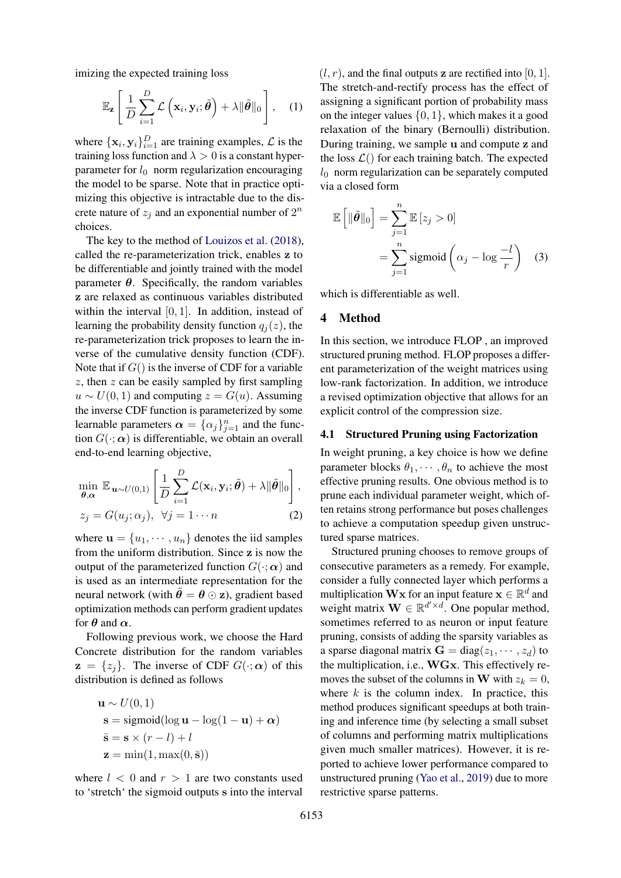imizing the expected training loss

$$
\mathbb{E}_{\mathbf{z}}\left[\frac{1}{D}\sum_{i=1}^{D}\mathcal{L}\left(\mathbf{x}_{i},\mathbf{y}_{i};\tilde{\boldsymbol{\theta}}\right)+\lambda\|\tilde{\boldsymbol{\theta}}\|_{0}\right],
$$
 (1)

where  $\{\mathbf x_i, \mathbf y_i\}_{i=1}^D$  are training examples,  $\mathcal L$  is the training loss function and  $\lambda > 0$  is a constant hyperparameter for  $l_0$  norm regularization encouraging the model to be sparse. Note that in practice optimizing this objective is intractable due to the discrete nature of  $z_j$  and an exponential number of  $2^n$ choices.

The key to the method of [Louizos et al.](#page-9-8) [\(2018\)](#page-9-8), called the re-parameterization trick, enables z to be differentiable and jointly trained with the model parameter  $\theta$ . Specifically, the random variables z are relaxed as continuous variables distributed within the interval [0, 1]. In addition, instead of learning the probability density function  $q_i(z)$ , the re-parameterization trick proposes to learn the inverse of the cumulative density function (CDF). Note that if  $G()$  is the inverse of CDF for a variable  $z$ , then  $z$  can be easily sampled by first sampling  $u \sim U(0, 1)$  and computing  $z = G(u)$ . Assuming the inverse CDF function is parameterized by some learnable parameters  $\boldsymbol{\alpha} = {\{\alpha_j\}}_{j=1}^n$  and the function  $G(\cdot; \alpha)$  is differentiable, we obtain an overall end-to-end learning objective,

$$
\min_{\boldsymbol{\theta}, \boldsymbol{\alpha}} \mathbb{E}_{\mathbf{u} \sim U(0,1)} \left[ \frac{1}{D} \sum_{i=1}^{D} \mathcal{L}(\mathbf{x}_i, \mathbf{y}_i; \tilde{\boldsymbol{\theta}}) + \lambda ||\tilde{\boldsymbol{\theta}}||_0 \right],
$$
  

$$
z_j = G(u_j; \alpha_j), \ \forall j = 1 \cdots n
$$
 (2)

where  $\mathbf{u} = \{u_1, \dots, u_n\}$  denotes the iid samples from the uniform distribution. Since z is now the output of the parameterized function  $G(\cdot; \alpha)$  and is used as an intermediate representation for the neural network (with  $\ddot{\theta} = \theta \odot z$ ), gradient based optimization methods can perform gradient updates for  $\theta$  and  $\alpha$ .

Following previous work, we choose the Hard Concrete distribution for the random variables  $z = \{z_j\}$ . The inverse of CDF  $G(\cdot; \alpha)$  of this distribution is defined as follows

$$
\mathbf{u} \sim U(0, 1)
$$
  
\n
$$
\mathbf{s} = \text{sigmoid}(\log \mathbf{u} - \log(1 - \mathbf{u}) + \alpha)
$$
  
\n
$$
\bar{\mathbf{s}} = \mathbf{s} \times (r - l) + l
$$
  
\n
$$
\mathbf{z} = \min(1, \max(0, \bar{\mathbf{s}}))
$$

where  $l < 0$  and  $r > 1$  are two constants used to 'stretch' the sigmoid outputs s into the interval  $(l, r)$ , and the final outputs z are rectified into [0, 1]. The stretch-and-rectify process has the effect of assigning a significant portion of probability mass on the integer values  $\{0, 1\}$ , which makes it a good relaxation of the binary (Bernoulli) distribution. During training, we sample u and compute z and the loss  $\mathcal{L}()$  for each training batch. The expected  $l_0$  norm regularization can be separately computed via a closed form

$$
\mathbb{E}\left[\|\tilde{\theta}\|_0\right] = \sum_{j=1}^n \mathbb{E}\left[z_j > 0\right] \\
= \sum_{j=1}^n \text{sigmoid}\left(\alpha_j - \log \frac{-l}{r}\right) \quad (3)
$$

which is differentiable as well.

# 4 Method

In this section, we introduce FLOP , an improved structured pruning method. FLOP proposes a different parameterization of the weight matrices using low-rank factorization. In addition, we introduce a revised optimization objective that allows for an explicit control of the compression size.

### 4.1 Structured Pruning using Factorization

In weight pruning, a key choice is how we define parameter blocks  $\theta_1, \dots, \theta_n$  to achieve the most effective pruning results. One obvious method is to prune each individual parameter weight, which often retains strong performance but poses challenges to achieve a computation speedup given unstructured sparse matrices.

Structured pruning chooses to remove groups of consecutive parameters as a remedy. For example, consider a fully connected layer which performs a multiplication Wx for an input feature  $\mathbf{x} \in \mathbb{R}^d$  and weight matrix  $\mathbf{W} \in \mathbb{R}^{d' \times d}$ . One popular method, sometimes referred to as neuron or input feature pruning, consists of adding the sparsity variables as a sparse diagonal matrix  $G = diag(z_1, \dots, z_d)$  to the multiplication, i.e., WGx. This effectively removes the subset of the columns in W with  $z_k = 0$ , where  $k$  is the column index. In practice, this method produces significant speedups at both training and inference time (by selecting a small subset of columns and performing matrix multiplications given much smaller matrices). However, it is reported to achieve lower performance compared to unstructured pruning [\(Yao et al.,](#page-10-4) [2019\)](#page-10-4) due to more restrictive sparse patterns.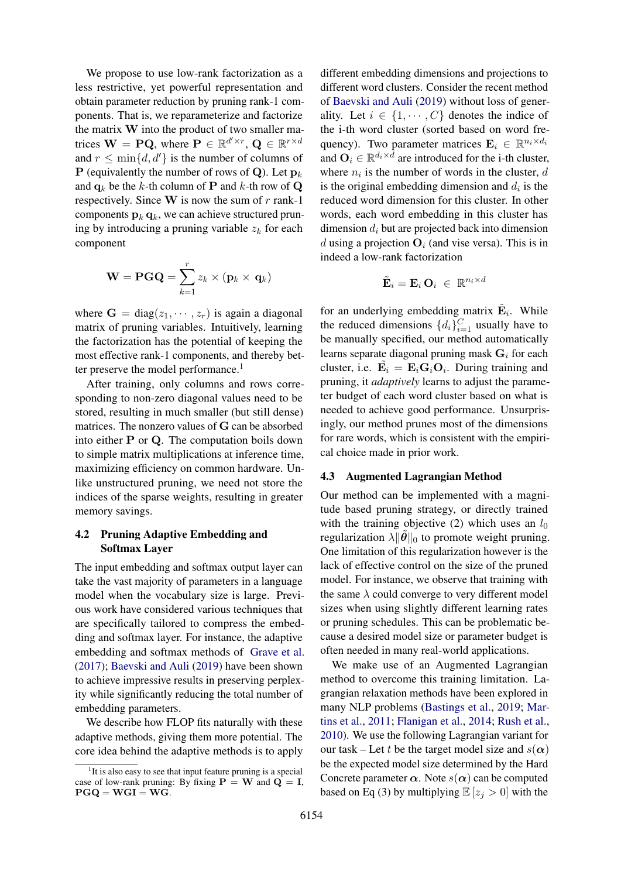We propose to use low-rank factorization as a less restrictive, yet powerful representation and obtain parameter reduction by pruning rank-1 components. That is, we reparameterize and factorize the matrix W into the product of two smaller matrices  $\mathbf{W} = \mathbf{P} \mathbf{Q}$ , where  $\mathbf{P} \in \mathbb{R}^{d' \times r}$ ,  $\mathbf{Q} \in \mathbb{R}^{r \times d}$ and  $r \leq \min\{d, d'\}$  is the number of columns of **P** (equivalently the number of rows of Q). Let  $p_k$ and  $q_k$  be the k-th column of **P** and k-th row of **Q** respectively. Since  $W$  is now the sum of  $r$  rank-1 components  $\mathbf{p}_k \mathbf{q}_k$ , we can achieve structured pruning by introducing a pruning variable  $z_k$  for each component

$$
\mathbf{W} = \mathbf{PGQ} = \sum_{k=1}^{r} z_k \times (\mathbf{p}_k \times \mathbf{q}_k)
$$

where  $G = diag(z_1, \dots, z_r)$  is again a diagonal matrix of pruning variables. Intuitively, learning the factorization has the potential of keeping the most effective rank-1 components, and thereby bet-ter preserve the model performance.<sup>[1](#page-3-0)</sup>

After training, only columns and rows corresponding to non-zero diagonal values need to be stored, resulting in much smaller (but still dense) matrices. The nonzero values of G can be absorbed into either P or Q. The computation boils down to simple matrix multiplications at inference time, maximizing efficiency on common hardware. Unlike unstructured pruning, we need not store the indices of the sparse weights, resulting in greater memory savings.

# 4.2 Pruning Adaptive Embedding and Softmax Layer

The input embedding and softmax output layer can take the vast majority of parameters in a language model when the vocabulary size is large. Previous work have considered various techniques that are specifically tailored to compress the embedding and softmax layer. For instance, the adaptive embedding and softmax methods of [Grave et al.](#page-9-9) [\(2017\)](#page-9-9); [Baevski and Auli](#page-8-4) [\(2019\)](#page-8-4) have been shown to achieve impressive results in preserving perplexity while significantly reducing the total number of embedding parameters.

We describe how FLOP fits naturally with these adaptive methods, giving them more potential. The core idea behind the adaptive methods is to apply

different embedding dimensions and projections to different word clusters. Consider the recent method of [Baevski and Auli](#page-8-4) [\(2019\)](#page-8-4) without loss of generality. Let  $i \in \{1, \dots, C\}$  denotes the indice of the i-th word cluster (sorted based on word frequency). Two parameter matrices  $\mathbf{E}_i \in \mathbb{R}^{n_i \times d_i}$ and  $O_i \in \mathbb{R}^{d_i \times d}$  are introduced for the i-th cluster, where  $n_i$  is the number of words in the cluster,  $d$ is the original embedding dimension and  $d_i$  is the reduced word dimension for this cluster. In other words, each word embedding in this cluster has dimension  $d_i$  but are projected back into dimension d using a projection  $\mathbf{O}_i$  (and vise versa). This is in indeed a low-rank factorization

$$
\tilde{\mathbf{E}}_i = \mathbf{E}_i \, \mathbf{O}_i \ \in \ \mathbb{R}^{n_i \times d}
$$

for an underlying embedding matrix  $\tilde{\mathbf{E}}_i$ . While the reduced dimensions  $\{d_i\}_{i=1}^C$  usually have to be manually specified, our method automatically learns separate diagonal pruning mask  $G_i$  for each cluster, i.e.  $\tilde{\mathbf{E}}_i = \mathbf{E}_i \mathbf{G}_i \mathbf{O}_i$ . During training and pruning, it *adaptively* learns to adjust the parameter budget of each word cluster based on what is needed to achieve good performance. Unsurprisingly, our method prunes most of the dimensions for rare words, which is consistent with the empirical choice made in prior work.

# 4.3 Augmented Lagrangian Method

Our method can be implemented with a magnitude based pruning strategy, or directly trained with the training objective (2) which uses an  $l_0$ regularization  $\lambda \|\hat{\theta}\|_0$  to promote weight pruning. One limitation of this regularization however is the lack of effective control on the size of the pruned model. For instance, we observe that training with the same  $\lambda$  could converge to very different model sizes when using slightly different learning rates or pruning schedules. This can be problematic because a desired model size or parameter budget is often needed in many real-world applications.

We make use of an Augmented Lagrangian method to overcome this training limitation. Lagrangian relaxation methods have been explored in many NLP problems [\(Bastings et al.,](#page-8-11) [2019;](#page-8-11) [Mar](#page-9-19)[tins et al.,](#page-9-19) [2011;](#page-9-19) [Flanigan et al.,](#page-8-12) [2014;](#page-8-12) [Rush et al.,](#page-10-15) [2010\)](#page-10-15). We use the following Lagrangian variant for our task – Let t be the target model size and  $s(\alpha)$ be the expected model size determined by the Hard Concrete parameter  $\alpha$ . Note  $s(\alpha)$  can be computed based on Eq (3) by multiplying  $\mathbb{E}[z_i > 0]$  with the

<span id="page-3-0"></span><sup>&</sup>lt;sup>1</sup>It is also easy to see that input feature pruning is a special case of low-rank pruning: By fixing  $P = W$  and  $Q = I$ ,  $PGQ = WGI = WG.$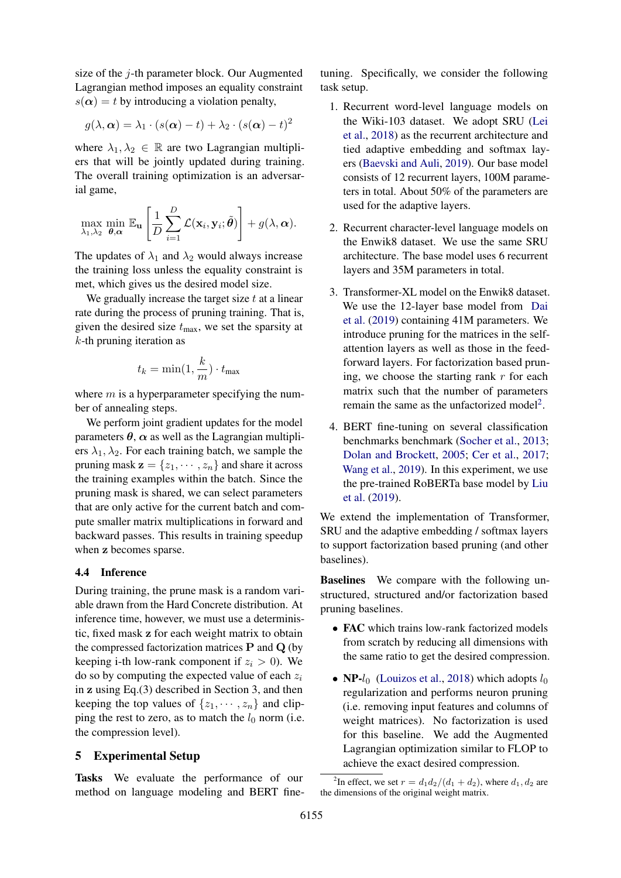size of the  $j$ -th parameter block. Our Augmented Lagrangian method imposes an equality constraint  $s(\alpha) = t$  by introducing a violation penalty,

$$
g(\lambda, \boldsymbol{\alpha}) = \lambda_1 \cdot (s(\boldsymbol{\alpha}) - t) + \lambda_2 \cdot (s(\boldsymbol{\alpha}) - t)^2
$$

where  $\lambda_1, \lambda_2 \in \mathbb{R}$  are two Lagrangian multipliers that will be jointly updated during training. The overall training optimization is an adversarial game,

$$
\max_{\lambda_1,\lambda_2} \min_{\boldsymbol{\theta},\boldsymbol{\alpha}} \mathbb{E}_{\mathbf{u}} \left[ \frac{1}{D} \sum_{i=1}^D \mathcal{L}(\mathbf{x}_i, \mathbf{y}_i; \tilde{\boldsymbol{\theta}}) \right] + g(\lambda, \boldsymbol{\alpha}).
$$

The updates of  $\lambda_1$  and  $\lambda_2$  would always increase the training loss unless the equality constraint is met, which gives us the desired model size.

We gradually increase the target size  $t$  at a linear rate during the process of pruning training. That is, given the desired size  $t_{\text{max}}$ , we set the sparsity at  $k$ -th pruning iteration as

$$
t_k = \min(1, \frac{k}{m}) \cdot t_{\max}
$$

where  $m$  is a hyperparameter specifying the number of annealing steps.

We perform joint gradient updates for the model parameters  $\theta$ ,  $\alpha$  as well as the Lagrangian multipliers  $\lambda_1, \lambda_2$ . For each training batch, we sample the pruning mask  $z = \{z_1, \dots, z_n\}$  and share it across the training examples within the batch. Since the pruning mask is shared, we can select parameters that are only active for the current batch and compute smaller matrix multiplications in forward and backward passes. This results in training speedup when z becomes sparse.

## 4.4 Inference

During training, the prune mask is a random variable drawn from the Hard Concrete distribution. At inference time, however, we must use a deterministic, fixed mask z for each weight matrix to obtain the compressed factorization matrices  $P$  and  $Q$  (by keeping i-th low-rank component if  $z_i > 0$ ). We do so by computing the expected value of each  $z_i$ in z using Eq.(3) described in Section 3, and then keeping the top values of  $\{z_1, \dots, z_n\}$  and clipping the rest to zero, as to match the  $l_0$  norm (i.e. the compression level).

# 5 Experimental Setup

Tasks We evaluate the performance of our method on language modeling and BERT finetuning. Specifically, we consider the following task setup.

- 1. Recurrent word-level language models on the Wiki-103 dataset. We adopt SRU [\(Lei](#page-9-20) [et al.,](#page-9-20) [2018\)](#page-9-20) as the recurrent architecture and tied adaptive embedding and softmax layers [\(Baevski and Auli,](#page-8-4) [2019\)](#page-8-4). Our base model consists of 12 recurrent layers, 100M parameters in total. About 50% of the parameters are used for the adaptive layers.
- 2. Recurrent character-level language models on the Enwik8 dataset. We use the same SRU architecture. The base model uses 6 recurrent layers and 35M parameters in total.
- 3. Transformer-XL model on the Enwik8 dataset. We use the 12-layer base model from [Dai](#page-8-2) [et al.](#page-8-2) [\(2019\)](#page-8-2) containing 41M parameters. We introduce pruning for the matrices in the selfattention layers as well as those in the feedforward layers. For factorization based pruning, we choose the starting rank  $r$  for each matrix such that the number of parameters remain the same as the unfactorized model<sup>[2](#page-4-0)</sup>.
- 4. BERT fine-tuning on several classification benchmarks benchmark [\(Socher et al.,](#page-10-16) [2013;](#page-10-16) [Dolan and Brockett,](#page-8-13) [2005;](#page-8-13) [Cer et al.,](#page-8-14) [2017;](#page-8-14) [Wang et al.,](#page-10-17) [2019\)](#page-10-17). In this experiment, we use the pre-trained RoBERTa base model by [Liu](#page-9-2) [et al.](#page-9-2) [\(2019\)](#page-9-2).

We extend the implementation of Transformer, SRU and the adaptive embedding / softmax layers to support factorization based pruning (and other baselines).

Baselines We compare with the following unstructured, structured and/or factorization based pruning baselines.

- FAC which trains low-rank factorized models from scratch by reducing all dimensions with the same ratio to get the desired compression.
- NP- $l_0$  [\(Louizos et al.,](#page-9-8) [2018\)](#page-9-8) which adopts  $l_0$ regularization and performs neuron pruning (i.e. removing input features and columns of weight matrices). No factorization is used for this baseline. We add the Augmented Lagrangian optimization similar to FLOP to achieve the exact desired compression.

<span id="page-4-0"></span><sup>&</sup>lt;sup>2</sup>In effect, we set  $r = d_1 d_2/(d_1 + d_2)$ , where  $d_1, d_2$  are the dimensions of the original weight matrix.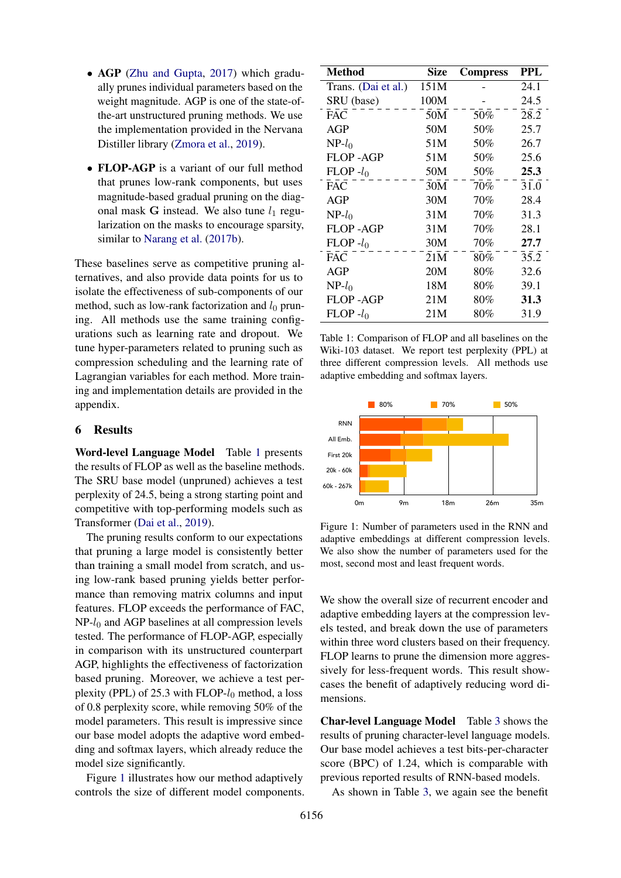- AGP [\(Zhu and Gupta,](#page-10-1) [2017\)](#page-10-1) which gradually prunes individual parameters based on the weight magnitude. AGP is one of the state-ofthe-art unstructured pruning methods. We use the implementation provided in the Nervana Distiller library [\(Zmora et al.,](#page-10-18) [2019\)](#page-10-18).
- FLOP-AGP is a variant of our full method that prunes low-rank components, but uses magnitude-based gradual pruning on the diagonal mask G instead. We also tune  $l_1$  regularization on the masks to encourage sparsity, similar to [Narang et al.](#page-9-6) [\(2017b\)](#page-9-6).

These baselines serve as competitive pruning alternatives, and also provide data points for us to isolate the effectiveness of sub-components of our method, such as low-rank factorization and  $l_0$  pruning. All methods use the same training configurations such as learning rate and dropout. We tune hyper-parameters related to pruning such as compression scheduling and the learning rate of Lagrangian variables for each method. More training and implementation details are provided in the **80% 70% 50% 50% 70% 80%** appendix. ing and imprememation details

# 6 Results

Word-level Language Model Table [1](#page-5-0) presents the results of FLOP as well as the baseline methods. The SRU base model (unpruned) achieves a test perplexity of 24.5, being a strong starting point and competitive with top-performing models such as Transformer [\(Dai et al.,](#page-8-2) [2019\)](#page-8-2). Emp. Since buse model (unprunca) demove  $A$ l all  $B$  is to the  $D$  at  $\alpha$  all,  $\alpha$ <sub>2</sub> $\beta$ .

The pruning results conform to our expectations that pruning a large model is consistently better than training a small model from scratch, and using low-rank based pruning yields better performance than removing matrix columns and input features. FLOP exceeds the performance of FAC, NP-l<sub>0</sub> and AGP baselines at all compression levels tested. The performance of FLOP-AGP, especially in comparison with its unstructured counterpart AGP, highlights the effectiveness of factorization based pruning. Moreover, we achieve a test perplexity (PPL) of 25.3 with FLOP- $l_0$  method, a loss of 0.8 perplexity score, while removing 50% of the model parameters. This result is impressive since our base model adopts the adaptive word embedding and softmax layers, which already reduce the model size significantly. **Emb. (least frequent)** 5747166 1177344 252288 925056 4569822 **All Emb.** 8.04832 4.516688 16.862992 8048320 4516688 16862992 50999936  $F_{11}$ <sup>11</sup>

Figure [1](#page-5-1) illustrates how our method adaptively controls the size of different model components.

<span id="page-5-0"></span>

| <b>Method</b>       | <b>Size</b> | <b>Compress</b> | <b>PPL</b> |
|---------------------|-------------|-----------------|------------|
| Trans. (Dai et al.) | 151M        |                 | 24.1       |
| SRU (base)          | 100M        |                 | 24.5       |
| <b>FAC</b>          | 50M         | 50%             | 28.2       |
| AGP                 | 50M         | 50%             | 25.7       |
| $NP-l_0$            | 51M         | 50%             | 26.7       |
| <b>FLOP-AGP</b>     | 51M         | 50%             | 25.6       |
| $FLOP - l_0$        | 50M         | 50%             | 25.3       |
| <b>FAC</b>          | 30M         | 70%             | 31.0       |
| AGP                 | 30M         | 70%             | 28.4       |
| $NP-l_0$            | 31M         | 70%             | 31.3       |
| <b>FLOP - AGP</b>   | 31M         | 70%             | 28.1       |
| $FLOP - l_0$        | 30M         | 70%             | 27.7       |
| <b>FAC</b>          | 21M         | 80%             | 35.2       |
| AGP                 | 20M         | 80%             | 32.6       |
| $NP-l_0$            | 18M         | $80\%$          | 39.1       |
| FLOP -AGP           | 21M         | $80\%$          | 31.3       |
| $FLOP - l_0$        | 21M         | $80\%$          | 31.9       |

Table 1: Comparison of FLOP and all baselines on the Wiki-103 dataset. We report test perplexity (PPL) at three different compression levels. All methods use adaptive embedding and softmax layers.

<span id="page-5-1"></span>

most, second most and least frequent words. Figure 1: Number of parameters used in the RNN and adaptive embeddings at different compression levels. We also show the number of parameters used for the

We show the overall size of recurrent encoder and adaptive embedding layers at the compression levels tested, and break down the use of parameters within three word clusters based on their frequency. FLOP learns to prune the dimension more aggressively for less-frequent words. This result showcases the benefit of adaptively reducing word dimensions.

Char-level Language Model Table [3](#page-6-0) shows the results of pruning character-level language models. Our base model achieves a test bits-per-character score (BPC) of 1.24, which is comparable with previous reported results of RNN-based models.

As shown in Table [3,](#page-6-0) we again see the benefit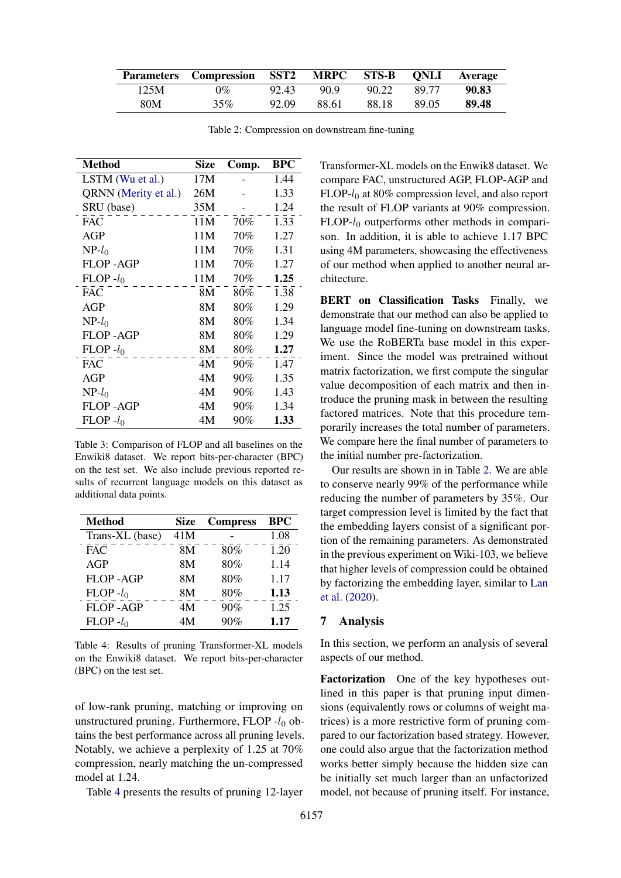<span id="page-6-2"></span>

|      | Parameters Compression SST2 MRPC STS-B ONLI Average |       |       |       |       |       |
|------|-----------------------------------------------------|-------|-------|-------|-------|-------|
| 125M | $0\%$                                               | 92.43 | 90.9  | 90.22 | 89.77 | 90.83 |
| 80M  | 35%                                                 | 92.09 | 88.61 | 88.18 | 89.05 | 89.48 |

Table 2: Compression on downstream fine-tuning

<span id="page-6-0"></span>

| <b>Method</b>        | Size | Comp.  | <b>BPC</b> |
|----------------------|------|--------|------------|
| LSTM (Wu et al.)     | 17M  |        | 1.44       |
| QRNN (Merity et al.) | 26M  |        | 1.33       |
| SRU (base)           | 35M  |        | 1.24       |
| <b>FAC</b>           | 11M  | 70%    | 1.33       |
| AGP                  | 11M  | 70%    | 1.27       |
| $NP-l_0$             | 11M  | 70%    | 1.31       |
| <b>FLOP - AGP</b>    | 11M  | 70%    | 1.27       |
| $FLOP - l_0$         | 11M  | 70%    | 1.25       |
| <b>FAC</b>           | 8M   | 80%    | 1.38       |
| AGP                  | 8М   | $80\%$ | 1.29       |
| $NP-l_0$             | 8М   | $80\%$ | 1.34       |
| <b>FLOP - AGP</b>    | 8М   | $80\%$ | 1.29       |
| $FLOP - l_0$         | 8M   | 80%    | 1.27       |
| <b>FAC</b>           | 4M   | 90%    | 1.47       |
| AGP                  | 4M   | 90%    | 1.35       |
| $NP-l_0$             | 4M   | 90%    | 1.43       |
| FLOP -AGP            | 4M   | 90%    | 1.34       |
| $FLOP - l_0$         | 4M   | 90%    | 1.33       |

Table 3: Comparison of FLOP and all baselines on the Enwiki8 dataset. We report bits-per-character (BPC) on the test set. We also include previous reported results of recurrent language models on this dataset as additional data points.

<span id="page-6-1"></span>

| Method          | Size | <b>Compress</b> | <b>BPC</b> |
|-----------------|------|-----------------|------------|
| Trans-XL (base) | 41M  |                 | 1.08       |
| <b>FAC</b>      | 8M   | 80%             | 1.20       |
| <b>AGP</b>      | 8M   | 80%             | 1.14       |
| <b>FLOP-AGP</b> | 8M   | 80%             | 1.17       |
| $FLOP - l_0$    | 8M   | 80%             | 1.13       |
| <b>FLOP-AGP</b> | 4M   | 90%             | 1.25       |
| $FLOP - l_0$    | 4M   | 90%             | 1.17       |

Table 4: Results of pruning Transformer-XL models on the Enwiki8 dataset. We report bits-per-character (BPC) on the test set.

of low-rank pruning, matching or improving on unstructured pruning. Furthermore, FLOP  $-l_0$  obtains the best performance across all pruning levels. Notably, we achieve a perplexity of 1.25 at 70% compression, nearly matching the un-compressed model at 1.24.

Table [4](#page-6-1) presents the results of pruning 12-layer

Transformer-XL models on the Enwik8 dataset. We compare FAC, unstructured AGP, FLOP-AGP and  $FLOP-I<sub>0</sub>$  at 80% compression level, and also report the result of FLOP variants at 90% compression.  $FLOP-I<sub>0</sub>$  outperforms other methods in comparison. In addition, it is able to achieve 1.17 BPC using 4M parameters, showcasing the effectiveness of our method when applied to another neural architecture.

BERT on Classification Tasks Finally, we demonstrate that our method can also be applied to language model fine-tuning on downstream tasks. We use the RoBERTa base model in this experiment. Since the model was pretrained without matrix factorization, we first compute the singular value decomposition of each matrix and then introduce the pruning mask in between the resulting factored matrices. Note that this procedure temporarily increases the total number of parameters. We compare here the final number of parameters to the initial number pre-factorization.

Our results are shown in in Table [2.](#page-6-2) We are able to conserve nearly 99% of the performance while reducing the number of parameters by 35%. Our target compression level is limited by the fact that the embedding layers consist of a significant portion of the remaining parameters. As demonstrated in the previous experiment on Wiki-103, we believe that higher levels of compression could be obtained by factorizing the embedding layer, similar to [Lan](#page-9-22) [et al.](#page-9-22) [\(2020\)](#page-9-22).

# 7 Analysis

In this section, we perform an analysis of several aspects of our method.

Factorization One of the key hypotheses outlined in this paper is that pruning input dimensions (equivalently rows or columns of weight matrices) is a more restrictive form of pruning compared to our factorization based strategy. However, one could also argue that the factorization method works better simply because the hidden size can be initially set much larger than an unfactorized model, not because of pruning itself. For instance,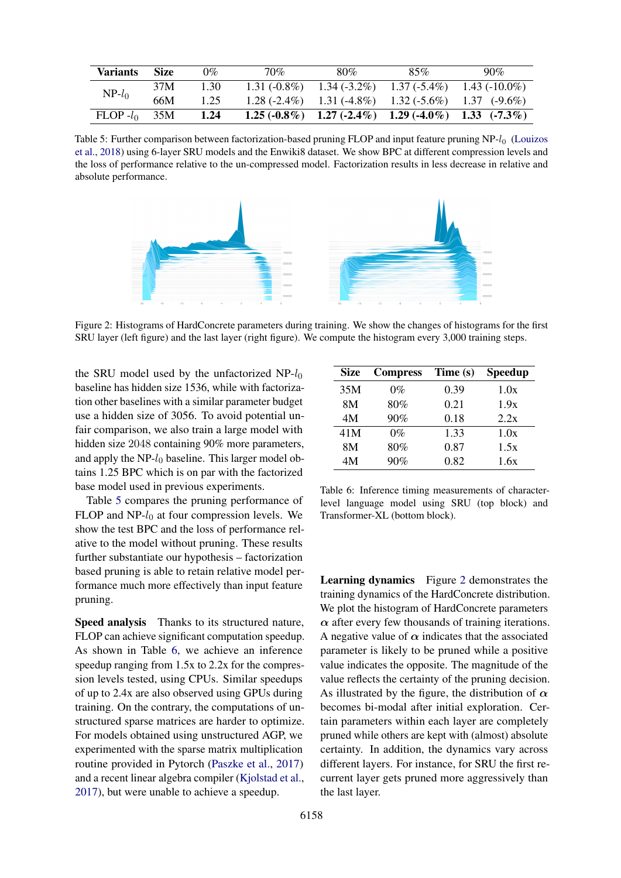<span id="page-7-0"></span>

| <b>Variants</b> | <b>Size</b> | 0%   | 70% | 80% | 85%                                                              | $90\%$                                                          |
|-----------------|-------------|------|-----|-----|------------------------------------------------------------------|-----------------------------------------------------------------|
| $NP-l_0$        | 37M         | 1.30 |     |     | 1.31 $(-0.8\%)$ 1.34 $(-3.2\%)$ 1.37 $(-5.4\%)$ 1.43 $(-10.0\%)$ |                                                                 |
|                 | 66M         | 1.25 |     |     |                                                                  | $1.28(-2.4\%)$ $1.31(-4.8\%)$ $1.32(-5.6\%)$ $1.37(-9.6\%)$     |
| $FLOP - l_0$    | 35M         | 1.24 |     |     |                                                                  | $1.25 (-0.8\%)$ $1.27 (-2.4\%)$ $1.29 (-4.0\%)$ $1.33 (-7.3\%)$ |

Table 5: Further comparison between factorization-based pruning FLOP and input feature pruning NP-l<sub>0</sub> [\(Louizos](#page-9-8) [et al.,](#page-9-8) [2018\)](#page-9-8) using 6-layer SRU models and the Enwiki8 dataset. We show BPC at different compression levels and the loss of performance relative to the un-compressed model. Factorization results in less decrease in relative and absolute performance.

<span id="page-7-2"></span>

Figure 2: Histograms of HardConcrete parameters during training. We show the changes of histograms for the first SRU layer (left figure) and the last layer (right figure). We compute the histogram every 3,000 training steps.

the SRU model used by the unfactorized  $NP-I_0$ baseline has hidden size 1536, while with factorization other baselines with a similar parameter budget use a hidden size of 3056. To avoid potential unfair comparison, we also train a large model with hidden size 2048 containing 90% more parameters, and apply the  $NP-I_0$  baseline. This larger model obtains 1.25 BPC which is on par with the factorized base model used in previous experiments.

Table [5](#page-7-0) compares the pruning performance of FLOP and  $NP-I_0$  at four compression levels. We show the test BPC and the loss of performance relative to the model without pruning. These results further substantiate our hypothesis – factorization based pruning is able to retain relative model performance much more effectively than input feature pruning.

Speed analysis Thanks to its structured nature, FLOP can achieve significant computation speedup. As shown in Table [6,](#page-7-1) we achieve an inference speedup ranging from 1.5x to 2.2x for the compression levels tested, using CPUs. Similar speedups of up to 2.4x are also observed using GPUs during training. On the contrary, the computations of unstructured sparse matrices are harder to optimize. For models obtained using unstructured AGP, we experimented with the sparse matrix multiplication routine provided in Pytorch [\(Paszke et al.,](#page-9-10) [2017\)](#page-9-10) and a recent linear algebra compiler [\(Kjolstad et al.,](#page-9-23) [2017\)](#page-9-23), but were unable to achieve a speedup.

<span id="page-7-1"></span>

| Size | <b>Compress</b> | Time (s) | Speedup |
|------|-----------------|----------|---------|
| 35M  | $0\%$           | 0.39     | 1.0x    |
| 8M   | 80%             | 0.21     | 1.9x    |
| 4M   | 90%             | 0.18     | 2.2x    |
| 41M  | $0\%$           | 1.33     | 1.0x    |
| 8M   | 80%             | 0.87     | 1.5x    |
| 4M   | 90%             | 0.82     | 1.6x    |

Table 6: Inference timing measurements of characterlevel language model using SRU (top block) and Transformer-XL (bottom block).

Learning dynamics Figure [2](#page-7-2) demonstrates the training dynamics of the HardConcrete distribution. We plot the histogram of HardConcrete parameters  $\alpha$  after every few thousands of training iterations. A negative value of  $\alpha$  indicates that the associated parameter is likely to be pruned while a positive value indicates the opposite. The magnitude of the value reflects the certainty of the pruning decision. As illustrated by the figure, the distribution of  $\alpha$ becomes bi-modal after initial exploration. Certain parameters within each layer are completely pruned while others are kept with (almost) absolute certainty. In addition, the dynamics vary across different layers. For instance, for SRU the first recurrent layer gets pruned more aggressively than the last layer.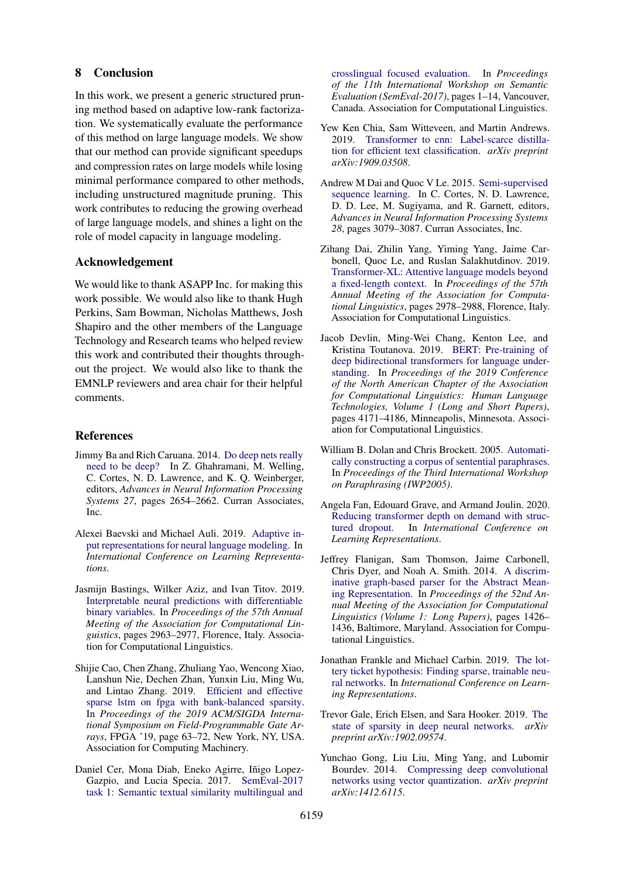### 8 Conclusion

In this work, we present a generic structured pruning method based on adaptive low-rank factorization. We systematically evaluate the performance of this method on large language models. We show that our method can provide significant speedups and compression rates on large models while losing minimal performance compared to other methods, including unstructured magnitude pruning. This work contributes to reducing the growing overhead of large language models, and shines a light on the role of model capacity in language modeling.

# Acknowledgement

We would like to thank ASAPP Inc. for making this work possible. We would also like to thank Hugh Perkins, Sam Bowman, Nicholas Matthews, Josh Shapiro and the other members of the Language Technology and Research teams who helped review this work and contributed their thoughts throughout the project. We would also like to thank the EMNLP reviewers and area chair for their helpful comments.

### References

- <span id="page-8-5"></span>Jimmy Ba and Rich Caruana. 2014. [Do deep nets really](http://papers.nips.cc/paper/5484-do-deep-nets-really-need-to-be-deep.pdf) [need to be deep?](http://papers.nips.cc/paper/5484-do-deep-nets-really-need-to-be-deep.pdf) In Z. Ghahramani, M. Welling, C. Cortes, N. D. Lawrence, and K. Q. Weinberger, editors, *Advances in Neural Information Processing Systems 27*, pages 2654–2662. Curran Associates, Inc.
- <span id="page-8-4"></span>Alexei Baevski and Michael Auli. 2019. [Adaptive in](https://openreview.net/forum?id=ByxZX20qFQ)[put representations for neural language modeling.](https://openreview.net/forum?id=ByxZX20qFQ) In *International Conference on Learning Representations*.
- <span id="page-8-11"></span>Jasmijn Bastings, Wilker Aziz, and Ivan Titov. 2019. [Interpretable neural predictions with differentiable](https://doi.org/10.18653/v1/P19-1284) [binary variables.](https://doi.org/10.18653/v1/P19-1284) In *Proceedings of the 57th Annual Meeting of the Association for Computational Linguistics*, pages 2963–2977, Florence, Italy. Association for Computational Linguistics.
- <span id="page-8-3"></span>Shijie Cao, Chen Zhang, Zhuliang Yao, Wencong Xiao, Lanshun Nie, Dechen Zhan, Yunxin Liu, Ming Wu, and Lintao Zhang. 2019. [Efficient and effective](https://doi.org/10.1145/3289602.3293898) [sparse lstm on fpga with bank-balanced sparsity.](https://doi.org/10.1145/3289602.3293898) In *Proceedings of the 2019 ACM/SIGDA International Symposium on Field-Programmable Gate Arrays*, FPGA '19, page 63–72, New York, NY, USA. Association for Computing Machinery.
- <span id="page-8-14"></span>Daniel Cer, Mona Diab, Eneko Agirre, Iñigo Lopez-Gazpio, and Lucia Specia. 2017. [SemEval-2017](https://doi.org/10.18653/v1/S17-2001) [task 1: Semantic textual similarity multilingual and](https://doi.org/10.18653/v1/S17-2001)

[crosslingual focused evaluation.](https://doi.org/10.18653/v1/S17-2001) In *Proceedings of the 11th International Workshop on Semantic Evaluation (SemEval-2017)*, pages 1–14, Vancouver, Canada. Association for Computational Linguistics.

- <span id="page-8-7"></span>Yew Ken Chia, Sam Witteveen, and Martin Andrews. 2019. [Transformer to cnn: Label-scarce distilla](https://arxiv.org/abs/1909.03508)[tion for efficient text classification.](https://arxiv.org/abs/1909.03508) *arXiv preprint arXiv:1909.03508*.
- <span id="page-8-0"></span>Andrew M Dai and Quoc V Le. 2015. [Semi-supervised](http://papers.nips.cc/paper/5949-semi-supervised-sequence-learning.pdf) [sequence learning.](http://papers.nips.cc/paper/5949-semi-supervised-sequence-learning.pdf) In C. Cortes, N. D. Lawrence, D. D. Lee, M. Sugiyama, and R. Garnett, editors, *Advances in Neural Information Processing Systems 28*, pages 3079–3087. Curran Associates, Inc.
- <span id="page-8-2"></span>Zihang Dai, Zhilin Yang, Yiming Yang, Jaime Carbonell, Quoc Le, and Ruslan Salakhutdinov. 2019. [Transformer-XL: Attentive language models beyond](https://doi.org/10.18653/v1/P19-1285) [a fixed-length context.](https://doi.org/10.18653/v1/P19-1285) In *Proceedings of the 57th Annual Meeting of the Association for Computational Linguistics*, pages 2978–2988, Florence, Italy. Association for Computational Linguistics.
- <span id="page-8-1"></span>Jacob Devlin, Ming-Wei Chang, Kenton Lee, and Kristina Toutanova. 2019. [BERT: Pre-training of](https://doi.org/10.18653/v1/N19-1423) [deep bidirectional transformers for language under](https://doi.org/10.18653/v1/N19-1423)[standing.](https://doi.org/10.18653/v1/N19-1423) In *Proceedings of the 2019 Conference of the North American Chapter of the Association for Computational Linguistics: Human Language Technologies, Volume 1 (Long and Short Papers)*, pages 4171–4186, Minneapolis, Minnesota. Association for Computational Linguistics.
- <span id="page-8-13"></span>William B. Dolan and Chris Brockett. 2005. [Automati](https://www.aclweb.org/anthology/I05-5002)[cally constructing a corpus of sentential paraphrases.](https://www.aclweb.org/anthology/I05-5002) In *Proceedings of the Third International Workshop on Paraphrasing (IWP2005)*.
- <span id="page-8-10"></span>Angela Fan, Edouard Grave, and Armand Joulin. 2020. [Reducing transformer depth on demand with struc](https://openreview.net/forum?id=SylO2yStDr)[tured dropout.](https://openreview.net/forum?id=SylO2yStDr) In *International Conference on Learning Representations*.
- <span id="page-8-12"></span>Jeffrey Flanigan, Sam Thomson, Jaime Carbonell, Chris Dyer, and Noah A. Smith. 2014. [A discrim](https://doi.org/10.3115/v1/P14-1134)[inative graph-based parser for the Abstract Mean](https://doi.org/10.3115/v1/P14-1134)[ing Representation.](https://doi.org/10.3115/v1/P14-1134) In *Proceedings of the 52nd Annual Meeting of the Association for Computational Linguistics (Volume 1: Long Papers)*, pages 1426– 1436, Baltimore, Maryland. Association for Computational Linguistics.
- <span id="page-8-8"></span>Jonathan Frankle and Michael Carbin. 2019. [The lot](https://openreview.net/forum?id=rJl-b3RcF7)[tery ticket hypothesis: Finding sparse, trainable neu](https://openreview.net/forum?id=rJl-b3RcF7)[ral networks.](https://openreview.net/forum?id=rJl-b3RcF7) In *International Conference on Learning Representations*.
- <span id="page-8-9"></span>Trevor Gale, Erich Elsen, and Sara Hooker. 2019. [The](https://arxiv.org/abs/1902.09574) [state of sparsity in deep neural networks.](https://arxiv.org/abs/1902.09574) *arXiv preprint arXiv:1902.09574*.
- <span id="page-8-6"></span>Yunchao Gong, Liu Liu, Ming Yang, and Lubomir Bourdev. 2014. [Compressing deep convolutional](https://arxiv.org/abs/1412.6115) [networks using vector quantization.](https://arxiv.org/abs/1412.6115) *arXiv preprint arXiv:1412.6115*.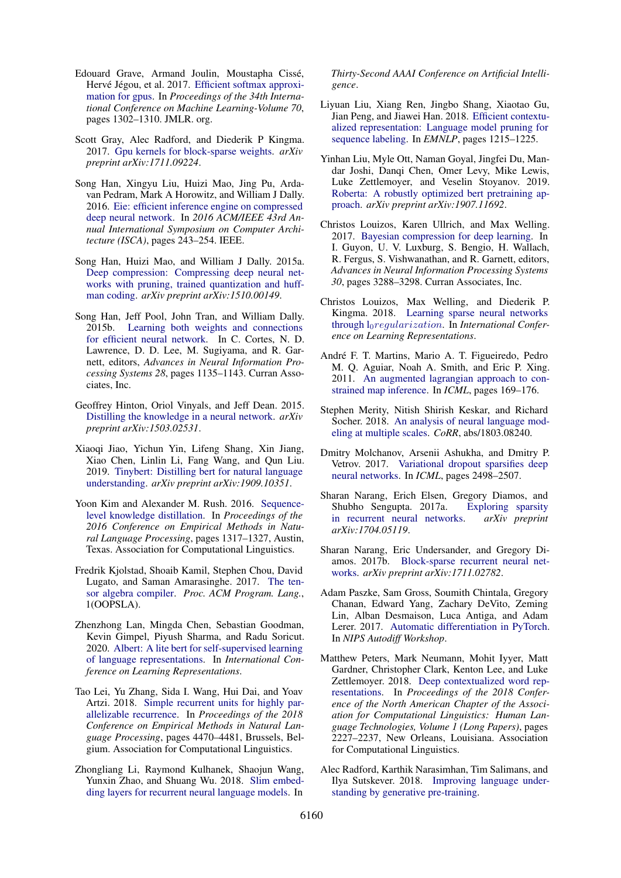- <span id="page-9-9"></span>Edouard Grave, Armand Joulin, Moustapha Cisse,´ Hervé Jégou, et al. 2017. [Efficient softmax approxi](http://proceedings.mlr.press/v70/grave17a.html)[mation for gpus.](http://proceedings.mlr.press/v70/grave17a.html) In *Proceedings of the 34th International Conference on Machine Learning-Volume 70*, pages 1302–1310. JMLR. org.
- <span id="page-9-7"></span>Scott Gray, Alec Radford, and Diederik P Kingma. 2017. [Gpu kernels for block-sparse weights.](https://cdn.openai.com/blocksparse/blocksparsepaper.pdf) *arXiv preprint arXiv:1711.09224*.
- <span id="page-9-5"></span>Song Han, Xingyu Liu, Huizi Mao, Jing Pu, Ardavan Pedram, Mark A Horowitz, and William J Dally. 2016. [Eie: efficient inference engine on compressed](https://arxiv.org/abs/1602.01528) [deep neural network.](https://arxiv.org/abs/1602.01528) In *2016 ACM/IEEE 43rd Annual International Symposium on Computer Architecture (ISCA)*, pages 243–254. IEEE.
- <span id="page-9-3"></span>Song Han, Huizi Mao, and William J Dally. 2015a. [Deep compression: Compressing deep neural net](https://arxiv.org/abs/1510.00149)[works with pruning, trained quantization and huff](https://arxiv.org/abs/1510.00149)[man coding.](https://arxiv.org/abs/1510.00149) *arXiv preprint arXiv:1510.00149*.
- <span id="page-9-11"></span>Song Han, Jeff Pool, John Tran, and William Dally. 2015b. [Learning both weights and connections](http://papers.nips.cc/paper/5784-learning-both-weights-and-connections-for-efficient-neural-network.pdf) [for efficient neural network.](http://papers.nips.cc/paper/5784-learning-both-weights-and-connections-for-efficient-neural-network.pdf) In C. Cortes, N. D. Lawrence, D. D. Lee, M. Sugiyama, and R. Garnett, editors, *Advances in Neural Information Processing Systems 28*, pages 1135–1143. Curran Associates, Inc.
- <span id="page-9-12"></span>Geoffrey Hinton, Oriol Vinyals, and Jeff Dean. 2015. [Distilling the knowledge in a neural network.](https://arxiv.org/abs/1503.02531) *arXiv preprint arXiv:1503.02531*.
- <span id="page-9-15"></span>Xiaoqi Jiao, Yichun Yin, Lifeng Shang, Xin Jiang, Xiao Chen, Linlin Li, Fang Wang, and Qun Liu. 2019. [Tinybert: Distilling bert for natural language](https://arxiv.org/abs/1909.10351) [understanding.](https://arxiv.org/abs/1909.10351) *arXiv preprint arXiv:1909.10351*.
- <span id="page-9-13"></span>Yoon Kim and Alexander M. Rush. 2016. [Sequence](https://doi.org/10.18653/v1/D16-1139)[level knowledge distillation.](https://doi.org/10.18653/v1/D16-1139) In *Proceedings of the 2016 Conference on Empirical Methods in Natural Language Processing*, pages 1317–1327, Austin, Texas. Association for Computational Linguistics.
- <span id="page-9-23"></span>Fredrik Kjolstad, Shoaib Kamil, Stephen Chou, David Lugato, and Saman Amarasinghe. 2017. [The ten](https://doi.org/10.1145/3133901)[sor algebra compiler.](https://doi.org/10.1145/3133901) *Proc. ACM Program. Lang.*, 1(OOPSLA).
- <span id="page-9-22"></span>Zhenzhong Lan, Mingda Chen, Sebastian Goodman, Kevin Gimpel, Piyush Sharma, and Radu Soricut. 2020. [Albert: A lite bert for self-supervised learning](https://openreview.net/forum?id=H1eA7AEtvS) [of language representations.](https://openreview.net/forum?id=H1eA7AEtvS) In *International Conference on Learning Representations*.
- <span id="page-9-20"></span>Tao Lei, Yu Zhang, Sida I. Wang, Hui Dai, and Yoav Artzi. 2018. [Simple recurrent units for highly par](https://doi.org/10.18653/v1/D18-1477)[allelizable recurrence.](https://doi.org/10.18653/v1/D18-1477) In *Proceedings of the 2018 Conference on Empirical Methods in Natural Language Processing*, pages 4470–4481, Brussels, Belgium. Association for Computational Linguistics.
- <span id="page-9-14"></span>Zhongliang Li, Raymond Kulhanek, Shaojun Wang, Yunxin Zhao, and Shuang Wu. 2018. [Slim embed](https://arxiv.org/abs/1711.09873)[ding layers for recurrent neural language models.](https://arxiv.org/abs/1711.09873) In

*Thirty-Second AAAI Conference on Artificial Intelligence*.

- <span id="page-9-18"></span>Liyuan Liu, Xiang Ren, Jingbo Shang, Xiaotao Gu, Jian Peng, and Jiawei Han. 2018. [Efficient contextu](https://aclanthology.info/papers/D18-1153/d18-1153)[alized representation: Language model pruning for](https://aclanthology.info/papers/D18-1153/d18-1153) [sequence labeling.](https://aclanthology.info/papers/D18-1153/d18-1153) In *EMNLP*, pages 1215–1225.
- <span id="page-9-2"></span>Yinhan Liu, Myle Ott, Naman Goyal, Jingfei Du, Mandar Joshi, Danqi Chen, Omer Levy, Mike Lewis, Luke Zettlemoyer, and Veselin Stoyanov. 2019. [Roberta: A robustly optimized bert pretraining ap](https://arxiv.org/abs/1907.11692)[proach.](https://arxiv.org/abs/1907.11692) *arXiv preprint arXiv:1907.11692*.
- <span id="page-9-17"></span>Christos Louizos, Karen Ullrich, and Max Welling. 2017. [Bayesian compression for deep learning.](http://papers.nips.cc/paper/6921-bayesian-compression-for-deep-learning.pdf) In I. Guyon, U. V. Luxburg, S. Bengio, H. Wallach, R. Fergus, S. Vishwanathan, and R. Garnett, editors, *Advances in Neural Information Processing Systems 30*, pages 3288–3298. Curran Associates, Inc.
- <span id="page-9-8"></span>Christos Louizos, Max Welling, and Diederik P. Kingma. 2018. [Learning sparse neural networks](https://openreview.net/forum?id=H1Y8hhg0b) through l0[regularization](https://openreview.net/forum?id=H1Y8hhg0b). In *International Conference on Learning Representations*.
- <span id="page-9-19"></span>André F. T. Martins, Mario A. T. Figueiredo, Pedro M. Q. Aguiar, Noah A. Smith, and Eric P. Xing. 2011. [An augmented lagrangian approach to con](https://icml.cc/2011/papers/150_icmlpaper.pdf)[strained map inference.](https://icml.cc/2011/papers/150_icmlpaper.pdf) In *ICML*, pages 169–176.
- <span id="page-9-21"></span>Stephen Merity, Nitish Shirish Keskar, and Richard Socher. 2018. [An analysis of neural language mod](https://arxiv.org/abs/1803.08240)[eling at multiple scales.](https://arxiv.org/abs/1803.08240) *CoRR*, abs/1803.08240.
- <span id="page-9-16"></span>Dmitry Molchanov, Arsenii Ashukha, and Dmitry P. Vetrov. 2017. [Variational dropout sparsifies deep](http://proceedings.mlr.press/v70/molchanov17a.html) [neural networks.](http://proceedings.mlr.press/v70/molchanov17a.html) In *ICML*, pages 2498–2507.
- <span id="page-9-4"></span>Sharan Narang, Erich Elsen, Gregory Diamos, and Shubho Sengupta. 2017a. [Exploring sparsity](https://arxiv.org/abs/1704.05119)<br>in recurrent neural networks. *arXiv preprint* [in recurrent neural networks.](https://arxiv.org/abs/1704.05119) *arXiv:1704.05119*.
- <span id="page-9-6"></span>Sharan Narang, Eric Undersander, and Gregory Diamos. 2017b. [Block-sparse recurrent neural net](https://arxiv.org/abs/1711.02782)[works.](https://arxiv.org/abs/1711.02782) *arXiv preprint arXiv:1711.02782*.
- <span id="page-9-10"></span>Adam Paszke, Sam Gross, Soumith Chintala, Gregory Chanan, Edward Yang, Zachary DeVito, Zeming Lin, Alban Desmaison, Luca Antiga, and Adam Lerer. 2017. [Automatic differentiation in PyTorch.](https://openreview.net/pdf/25b8eee6c373d48b84e5e9c6e10e7cbbbce4ac73.pdf) In *NIPS Autodiff Workshop*.
- <span id="page-9-0"></span>Matthew Peters, Mark Neumann, Mohit Iyyer, Matt Gardner, Christopher Clark, Kenton Lee, and Luke Zettlemoyer. 2018. [Deep contextualized word rep](https://doi.org/10.18653/v1/N18-1202)[resentations.](https://doi.org/10.18653/v1/N18-1202) In *Proceedings of the 2018 Conference of the North American Chapter of the Association for Computational Linguistics: Human Language Technologies, Volume 1 (Long Papers)*, pages 2227–2237, New Orleans, Louisiana. Association for Computational Linguistics.
- <span id="page-9-1"></span>Alec Radford, Karthik Narasimhan, Tim Salimans, and Ilya Sutskever. 2018. [Improving language under](https://s3-us-west-2.amazonaws.com/openai-assets/research-covers/language-unsupervised/language_understanding_paper.pdf)[standing by generative pre-training.](https://s3-us-west-2.amazonaws.com/openai-assets/research-covers/language-unsupervised/language_understanding_paper.pdf)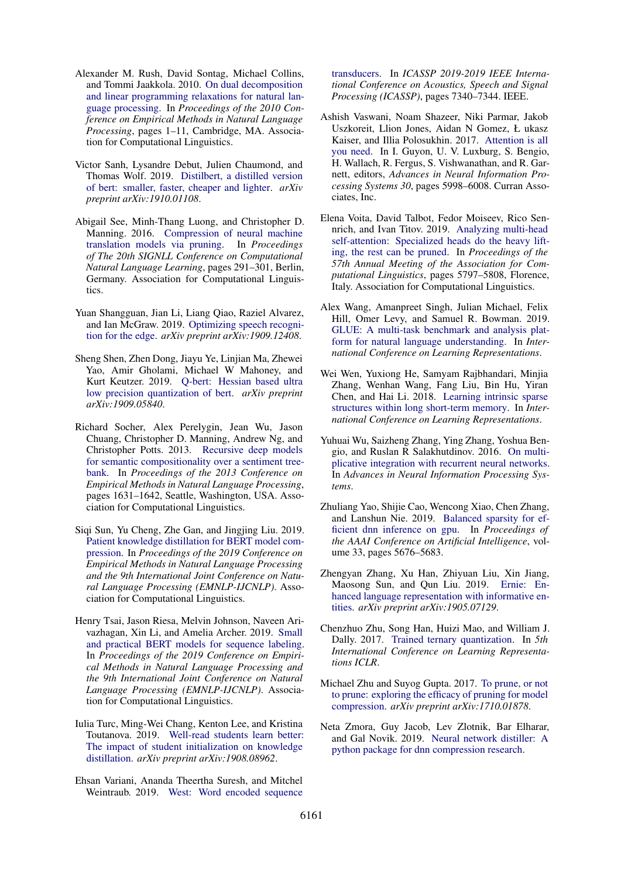- <span id="page-10-15"></span>Alexander M. Rush, David Sontag, Michael Collins, and Tommi Jaakkola. 2010. [On dual decomposition](https://www.aclweb.org/anthology/D10-1001) [and linear programming relaxations for natural lan](https://www.aclweb.org/anthology/D10-1001)[guage processing.](https://www.aclweb.org/anthology/D10-1001) In *Proceedings of the 2010 Conference on Empirical Methods in Natural Language Processing*, pages 1–11, Cambridge, MA. Association for Computational Linguistics.
- <span id="page-10-10"></span>Victor Sanh, Lysandre Debut, Julien Chaumond, and Thomas Wolf. 2019. [Distilbert, a distilled version](https://arxiv.org/abs/1910.01108) [of bert: smaller, faster, cheaper and lighter.](https://arxiv.org/abs/1910.01108) *arXiv preprint arXiv:1910.01108*.
- <span id="page-10-2"></span>Abigail See, Minh-Thang Luong, and Christopher D. Manning. 2016. [Compression of neural machine](https://doi.org/10.18653/v1/K16-1029) [translation models via pruning.](https://doi.org/10.18653/v1/K16-1029) In *Proceedings of The 20th SIGNLL Conference on Computational Natural Language Learning*, pages 291–301, Berlin, Germany. Association for Computational Linguistics.
- <span id="page-10-14"></span>Yuan Shangguan, Jian Li, Liang Qiao, Raziel Alvarez, and Ian McGraw. 2019. [Optimizing speech recogni](https://arxiv.org/abs/1909.12408)[tion for the edge.](https://arxiv.org/abs/1909.12408) *arXiv preprint arXiv:1909.12408*.
- <span id="page-10-7"></span>Sheng Shen, Zhen Dong, Jiayu Ye, Linjian Ma, Zhewei Yao, Amir Gholami, Michael W Mahoney, and Kurt Keutzer. 2019. [Q-bert: Hessian based ultra](https://arxiv.org/abs/1909.05840) [low precision quantization of bert.](https://arxiv.org/abs/1909.05840) *arXiv preprint arXiv:1909.05840*.
- <span id="page-10-16"></span>Richard Socher, Alex Perelygin, Jean Wu, Jason Chuang, Christopher D. Manning, Andrew Ng, and Christopher Potts. 2013. [Recursive deep models](https://www.aclweb.org/anthology/D13-1170) [for semantic compositionality over a sentiment tree](https://www.aclweb.org/anthology/D13-1170)[bank.](https://www.aclweb.org/anthology/D13-1170) In *Proceedings of the 2013 Conference on Empirical Methods in Natural Language Processing*, pages 1631–1642, Seattle, Washington, USA. Association for Computational Linguistics.
- <span id="page-10-11"></span>Siqi Sun, Yu Cheng, Zhe Gan, and Jingjing Liu. 2019. [Patient knowledge distillation for BERT model com](https://www.aclweb.org/anthology/D19-1441.pdf)[pression.](https://www.aclweb.org/anthology/D19-1441.pdf) In *Proceedings of the 2019 Conference on Empirical Methods in Natural Language Processing and the 9th International Joint Conference on Natural Language Processing (EMNLP-IJCNLP)*. Association for Computational Linguistics.
- <span id="page-10-12"></span>Henry Tsai, Jason Riesa, Melvin Johnson, Naveen Arivazhagan, Xin Li, and Amelia Archer. 2019. [Small](https://www.aclweb.org/anthology/D19-1374.pdf) [and practical BERT models for sequence labeling.](https://www.aclweb.org/anthology/D19-1374.pdf) In *Proceedings of the 2019 Conference on Empirical Methods in Natural Language Processing and the 9th International Joint Conference on Natural Language Processing (EMNLP-IJCNLP)*. Association for Computational Linguistics.
- <span id="page-10-13"></span>Iulia Turc, Ming-Wei Chang, Kenton Lee, and Kristina Toutanova. 2019. [Well-read students learn better:](https://arxiv.org/abs/1908.08962) [The impact of student initialization on knowledge](https://arxiv.org/abs/1908.08962) [distillation.](https://arxiv.org/abs/1908.08962) *arXiv preprint arXiv:1908.08962*.
- <span id="page-10-9"></span>Ehsan Variani, Ananda Theertha Suresh, and Mitchel Weintraub. 2019. [West: Word encoded sequence](https://arxiv.org/abs/1811.08417)

[transducers.](https://arxiv.org/abs/1811.08417) In *ICASSP 2019-2019 IEEE International Conference on Acoustics, Speech and Signal Processing (ICASSP)*, pages 7340–7344. IEEE.

- <span id="page-10-5"></span>Ashish Vaswani, Noam Shazeer, Niki Parmar, Jakob Uszkoreit, Llion Jones, Aidan N Gomez, Ł ukasz Kaiser, and Illia Polosukhin. 2017. [Attention is all](http://papers.nips.cc/paper/7181-attention-is-all-you-need.pdf) [you need.](http://papers.nips.cc/paper/7181-attention-is-all-you-need.pdf) In I. Guyon, U. V. Luxburg, S. Bengio, H. Wallach, R. Fergus, S. Vishwanathan, and R. Garnett, editors, *Advances in Neural Information Processing Systems 30*, pages 5998–6008. Curran Associates, Inc.
- <span id="page-10-8"></span>Elena Voita, David Talbot, Fedor Moiseev, Rico Sennrich, and Ivan Titov. 2019. [Analyzing multi-head](https://doi.org/10.18653/v1/P19-1580) [self-attention: Specialized heads do the heavy lift](https://doi.org/10.18653/v1/P19-1580)[ing, the rest can be pruned.](https://doi.org/10.18653/v1/P19-1580) In *Proceedings of the 57th Annual Meeting of the Association for Computational Linguistics*, pages 5797–5808, Florence, Italy. Association for Computational Linguistics.
- <span id="page-10-17"></span>Alex Wang, Amanpreet Singh, Julian Michael, Felix Hill, Omer Levy, and Samuel R. Bowman. 2019. [GLUE: A multi-task benchmark and analysis plat](https://openreview.net/forum?id=rJ4km2R5t7)[form for natural language understanding.](https://openreview.net/forum?id=rJ4km2R5t7) In *International Conference on Learning Representations*.
- <span id="page-10-3"></span>Wei Wen, Yuxiong He, Samyam Rajbhandari, Minjia Zhang, Wenhan Wang, Fang Liu, Bin Hu, Yiran Chen, and Hai Li. 2018. [Learning intrinsic sparse](https://openreview.net/forum?id=rk6cfpRjZ) [structures within long short-term memory.](https://openreview.net/forum?id=rk6cfpRjZ) In *International Conference on Learning Representations*.
- <span id="page-10-19"></span>Yuhuai Wu, Saizheng Zhang, Ying Zhang, Yoshua Bengio, and Ruslan R Salakhutdinov. 2016. [On multi](https://papers.nips.cc/paper/6215-on-multiplicative-integration-with-recurrent-neural-networks)[plicative integration with recurrent neural networks.](https://papers.nips.cc/paper/6215-on-multiplicative-integration-with-recurrent-neural-networks) In *Advances in Neural Information Processing Systems*.
- <span id="page-10-4"></span>Zhuliang Yao, Shijie Cao, Wencong Xiao, Chen Zhang, and Lanshun Nie. 2019. [Balanced sparsity for ef](https://arxiv.org/abs/1811.00206)[ficient dnn inference on gpu.](https://arxiv.org/abs/1811.00206) In *Proceedings of the AAAI Conference on Artificial Intelligence*, volume 33, pages 5676–5683.
- <span id="page-10-0"></span>Zhengyan Zhang, Xu Han, Zhiyuan Liu, Xin Jiang, Maosong Sun, and Qun Liu. 2019. [Ernie: En](https://arxiv.org/abs/1905.07129)[hanced language representation with informative en](https://arxiv.org/abs/1905.07129)[tities.](https://arxiv.org/abs/1905.07129) *arXiv preprint arXiv:1905.07129*.
- <span id="page-10-6"></span>Chenzhuo Zhu, Song Han, Huizi Mao, and William J. Dally. 2017. [Trained ternary quantization.](https://arxiv.org/abs/1612.01064) In *5th International Conference on Learning Representations ICLR*.
- <span id="page-10-1"></span>Michael Zhu and Suyog Gupta. 2017. [To prune, or not](https://arxiv.org/abs/1710.01878) [to prune: exploring the efficacy of pruning for model](https://arxiv.org/abs/1710.01878) [compression.](https://arxiv.org/abs/1710.01878) *arXiv preprint arXiv:1710.01878*.
- <span id="page-10-18"></span>Neta Zmora, Guy Jacob, Lev Zlotnik, Bar Elharar, and Gal Novik. 2019. [Neural network distiller: A](https://arxiv.org/abs/1910.12232) [python package for dnn compression research.](https://arxiv.org/abs/1910.12232)